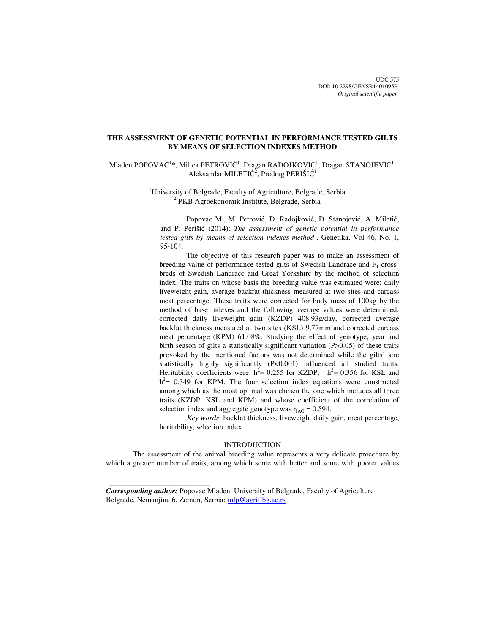UDC 575 DOI: 10.2298/GENSR1401095P *Original scientific paper*

# **THE ASSESSMENT OF GENETIC POTENTIAL IN PERFORMANCE TESTED GILTS BY MEANS OF SELECTION INDEXES METHOD**

Mladen POPOVAC<sup>1</sup>\*, Milica PETROVIĆ<sup>1</sup>, Dragan RADOJKOVIĆ<sup>1</sup>, Dragan STANOJEVIĆ<sup>1</sup>, Aleksandar MILETIĆ $^2$ , Predrag PERIŠIĆ $^1$ 

> <sup>1</sup>University of Belgrade, Faculty of Agriculture, Belgrade, Serbia <sup>2</sup> PKB Agroekonomik Institute, Belgrade, Serbia

Popovac M., M. Petrović, D. Radojković, D. Stanojević, A. Miletić, and P. Perišić (2014): *The assessment of genetic potential in performance tested gilts by means of selection indexes method-*. Genetika, Vol 46, No. 1, 95-104.

The objective of this research paper was to make an assessment of breeding value of performance tested gilts of Swedish Landrace and  $F_1$  crossbreds of Swedish Landrace and Great Yorkshire by the method of selection index. The traits on whose basis the breeding value was estimated were: daily liveweight gain, average backfat thickness measured at two sites and carcass meat percentage. These traits were corrected for body mass of 100kg by the method of base indexes and the following average values were determined: corrected daily liveweight gain (KZDP) 408.93g/day, corrected average backfat thickness measured at two sites (KSL) 9.77mm and corrected carcass meat percentage (KPM) 61.08%. Studying the effect of genotype, year and birth season of gilts a statistically significant variation (P>0.05) of these traits provoked by the mentioned factors was not determined while the gilts` sire statistically highly significantly (P<0.001) influenced all studied traits. Heritability coefficients were:  $h^2 = 0.255$  for KZDP,  $h^2 = 0.356$  for KSL and  $h^2$  = 0.349 for KPM. The four selection index equations were constructed among which as the most optimal was chosen the one which includes all three traits (KZDP, KSL and KPM) and whose coefficient of the correlation of selection index and aggregate genotype was  $r_{IAG} = 0.594$ .

*Key words*: backfat thickness, liveweight daily gain, meat percentage, heritability, selection index

## INTRODUCTION

The assessment of the animal breeding value represents a very delicate procedure by which a greater number of traits, among which some with better and some with poorer values

 $\frac{1}{2}$  , and the set of the set of the set of the set of the set of the set of the set of the set of the set of the set of the set of the set of the set of the set of the set of the set of the set of the set of the set

*Corresponding author:* Popovac Mladen, University of Belgrade, Faculty of Agriculture Belgrade, Nemanjina 6, Zemun, Serbia; mlp@agrif.bg.ac.rs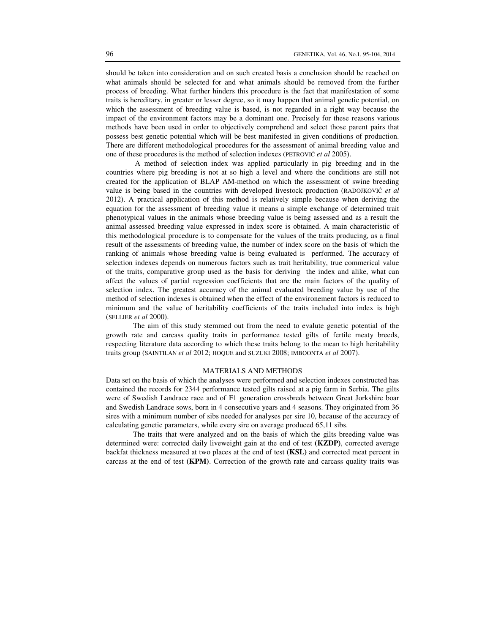should be taken into consideration and on such created basis a conclusion should be reached on what animals should be selected for and what animals should be removed from the further process of breeding. What further hinders this procedure is the fact that manifestation of some traits is hereditary, in greater or lesser degree, so it may happen that animal genetic potential, on which the assessment of breeding value is based, is not regarded in a right way because the impact of the environment factors may be a dominant one. Precisely for these reasons various methods have been used in order to objectively comprehend and select those parent pairs that possess best genetic potential which will be best manifested in given conditions of production. There are different methodological procedures for the assessment of animal breeding value and one of these procedures is the method of selection indexes (PETROVIĆ *et al* 2005).

 A method of selection index was applied particularly in pig breeding and in the countries where pig breeding is not at so high a level and where the conditions are still not created for the application of BLAP AM-method on which the assessment of swine breeding value is being based in the countries with developed livestock production (RADOJKOVIĆ *et al* 2012). A practical application of this method is relatively simple because when deriving the equation for the assessment of breeding value it means a simple exchange of determined trait phenotypical values in the animals whose breeding value is being assessed and as a result the animal assessed breeding value expressed in index score is obtained. A main characteristic of this methodological procedure is to compensate for the values of the traits producing, as a final result of the assessments of breeding value, the number of index score on the basis of which the ranking of animals whose breeding value is being evaluated is performed. The accuracy of selection indexes depends on numerous factors such as trait heritability, true commerical value of the traits, comparative group used as the basis for deriving the index and alike, what can affect the values of partial regression coefficients that are the main factors of the quality of selection index. The greatest accuracy of the animal evaluated breeding value by use of the method of selection indexes is obtained when the effect of the environement factors is reduced to minimum and the value of heritability coefficients of the traits included into index is high (SELLIER *et al* 2000).

 The aim of this study stemmed out from the need to evalute genetic potential of the growth rate and carcass quality traits in performance tested gilts of fertile meaty breeds, respecting literature data according to which these traits belong to the mean to high heritability traits group (SAINTILAN *et al* 2012; HOQUE and SUZUKI 2008; IMBOONTA *et al* 2007).

# MATERIALS AND METHODS

Data set on the basis of which the analyses were performed and selection indexes constructed has contained the records for 2344 performance tested gilts raised at a pig farm in Serbia. The gilts were of Swedish Landrace race and of F1 generation crossbreds between Great Jorkshire boar and Swedish Landrace sows, born in 4 consecutive years and 4 seasons. They originated from 36 sires with a minimum number of sibs needed for analyses per sire 10, because of the accuracy of calculating genetic parameters, while every sire on average produced 65,11 sibs.

 The traits that were analyzed and on the basis of which the gilts breeding value was determined were: corrected daily liveweight gain at the end of test **(KZDP)**, corrected average backfat thickness measured at two places at the end of test **(KSL)** and corrected meat percent in carcass at the end of test **(KPM)**. Correction of the growth rate and carcass quality traits was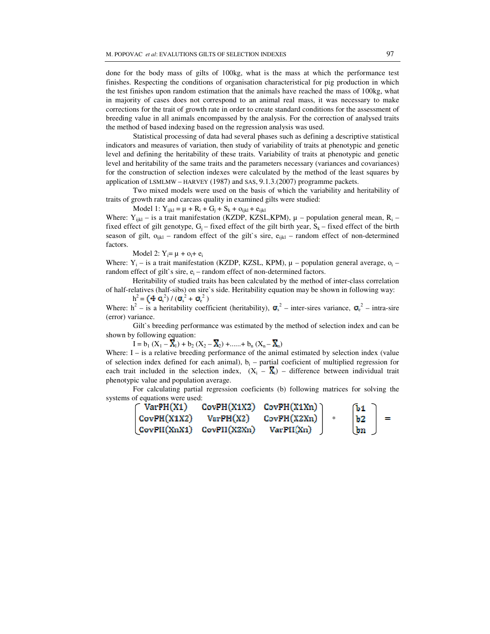done for the body mass of gilts of 100kg, what is the mass at which the performance test finishes. Respecting the conditions of organisation characteristical for pig production in which the test finishes upon random estimation that the animals have reached the mass of 100kg, what in majority of cases does not correspond to an animal real mass, it was necessary to make corrections for the trait of growth rate in order to create standard conditions for the assessment of breeding value in all animals encompassed by the analysis. For the correction of analysed traits the method of based indexing based on the regression analysis was used.

Statistical processing of data had several phases such as defining a descriptive statistical indicators and measures of variation, then study of variability of traits at phenotypic and genetic level and defining the heritability of these traits. Variability of traits at phenotypic and genetic level and heritability of the same traits and the parameters necessary (variances and covariances) for the construction of selection indexes were calculated by the method of the least squares by application of LSMLMW – HARVEY (1987) and SAS, 9.1.3.(2007) programme packets.

 Two mixed models were used on the basis of which the variability and heritability of traits of growth rate and carcass quality in examined gilts were studied:

Model 1:  $Y_{ijkl} = \mu + R_i + G_j + S_k + o_{ijkl} + e_{ijkl}$ 

Where:  $Y_{ijkl}$  – is a trait manifestation (KZDP, KZSL, KPM),  $\mu$  – population general mean,  $R_i$  – fixed effect of gilt genotype,  $G_i$  – fixed effect of the gilt birth year,  $S_k$  – fixed effect of the birth season of gilt,  $o_{ijkl}$  – random effect of the gilt's sire,  $e_{ijkl}$  – random effect of non-determined factors.

Model 2:  $Y_i = \mu + o_i + e_i$ 

Where:  $Y_i$  – is a trait manifestation (KZDP, KZSL, KPM),  $\mu$  – population general average,  $o_i$  – random effect of gilt`s sire,  $e_i$  – random effect of non-determined factors.

 Heritability of studied traits has been calculated by the method of inter-class correlation of half-relatives (half-sibs) on sire`s side. Heritability equation may be shown in following way:  $h^2 = (4 \sigma_s^2) / (\sigma_s^2 + \sigma_e^2)$ 

Where:  $h^2 - is$  a heritability coefficient (heritability),  $\sigma_s^2$  – inter-sires variance,  $\sigma_e^2$  – intra-sire (error) variance.

Gilt`s breeding performance was estimated by the method of selection index and can be shown by following equation:

 $I = b_1 (X_1 - \overline{X}_1) + b_2 (X_2 - \overline{X}_2) + \dots + b_n (X_n - \overline{X}_n)$ 

Where: I – is a relative breeding performance of the animal estimated by selection index (value of selection index defined for each animal),  $b_i$  – partial coeficient of multiplied regression for each trait included in the selection index,  $(X_i - X_i)$  – difference between individual trait phenotypic value and population average.

 For calculating partial regression coeficients (b) following matrices for solving the systems of equations were used:

| VarPH(X1)                                                                       | $CovPH(X1X2)$ $CovPH(X1Xn)$   | (b1          |  |
|---------------------------------------------------------------------------------|-------------------------------|--------------|--|
| $ $ CovPH $(X1X2)$                                                              | $VarPH(X2)$ CovPH(X2Xn) $ $ * | $\mathbf{b}$ |  |
| $\overline{\text{CovPII}(\text{XnX1})}$ $\overline{\text{CovPII}(\text{X2Xn})}$ | VarPH(Xn)                     | l bn         |  |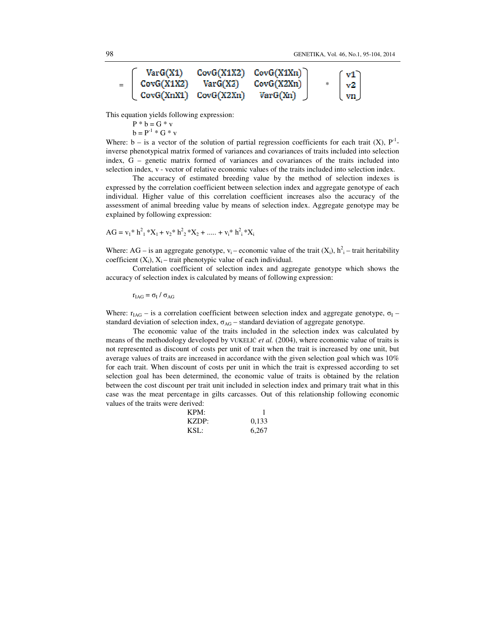| VarG(X1)   |                           | $CovG(X1X2)$ $CovG(X1Xn)$ | $\sqrt{1}$      |
|------------|---------------------------|---------------------------|-----------------|
| CovG(X1X2) |                           | $VarG(X2)$ $CovG(X2Xn)$   | $v2 +$          |
|            | $CovG(XnX1)$ $CovG(X2Xn)$ | VarG(Xn)                  | $\mathbf{u}$ vn |

This equation yields following expression:

 $P * b = G * v$ 

 $b = P^{-1} * G * v$ 

Where:  $b - is a vector of the solution of partial regression coefficients for each trait (X), P<sup>-1</sup>$ . inverse phenotypical matrix formed of variances and covariances of traits included into selection index, G – genetic matrix formed of variances and covariances of the traits included into selection index, v - vector of relative economic values of the traits included into selection index.

 The accuracy of estimated breeding value by the method of selection indexes is expressed by the correlation coefficient between selection index and aggregate genotype of each individual. Higher value of this correlation coefficient increases also the accuracy of the assessment of animal breeding value by means of selection index. Aggregate genotype may be explained by following expression:

$$
AG = v_1 * h_1^2 * X_1 + v_2 * h_2^2 * X_2 + \dots + v_i * h_i^2 * X_i
$$

Where: AG – is an aggregate genotype,  $v_i$  – economic value of the trait  $(X_i)$ ,  $h_i^2$  – trait heritability coefficient  $(X_i)$ ,  $X_i$  – trait phenotypic value of each individual.

 Correlation coefficient of selection index and aggregate genotype which shows the accuracy of selection index is calculated by means of following expression:

 $r_{\rm IAG} = \sigma_{\rm I} / \sigma_{\rm AG}$ 

Where:  $r_{IAG}$  – is a correlation coefficient between selection index and aggregate genotype,  $\sigma_{I}$  – standard deviation of selection index,  $\sigma_{AG}$  – standard deviation of aggregate genotype.

 The economic value of the traits included in the selection index was calculated by means of the methodology developed by VUKELIĆ *et al.* (2004), where economic value of traits is not represented as discount of costs per unit of trait when the trait is increased by one unit, but average values of traits are increased in accordance with the given selection goal which was 10% for each trait. When discount of costs per unit in which the trait is expressed according to set selection goal has been determined, the economic value of traits is obtained by the relation between the cost discount per trait unit included in selection index and primary trait what in this case was the meat percentage in gilts carcasses. Out of this relationship following economic values of the traits were derived:

| KPM:  |       |
|-------|-------|
| KZDP: | 0,133 |
| KSL:  | 6.267 |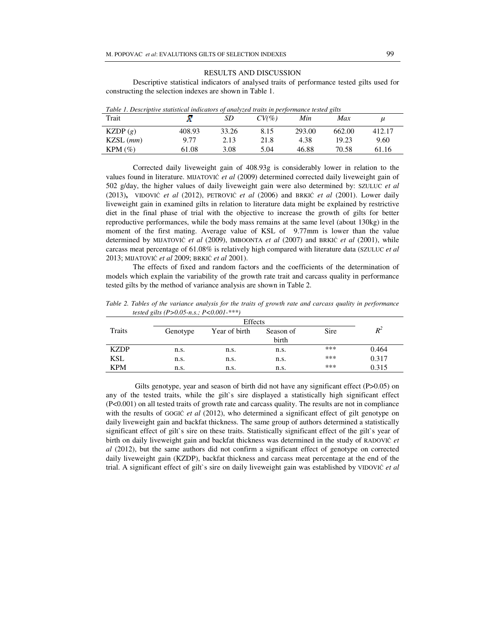#### RESULTS AND DISCUSSION

Descriptive statistical indicators of analysed traits of performance tested gilts used for constructing the selection indexes are shown in Table 1.

| Table 1. Descriptive statistical indicators of analyzed traits in performance tested gilts |        |       |          |        |        |        |
|--------------------------------------------------------------------------------------------|--------|-------|----------|--------|--------|--------|
| Trait                                                                                      |        | SD.   | $CV(\%)$ | Min    | Max    | $\mu$  |
| KZDP(g)                                                                                    | 408.93 | 33.26 | 8.15     | 293.00 | 662.00 | 412.17 |
| $KZSL$ ( <i>mm</i> )                                                                       | 9.77   | 2.13  | 21.8     | 4.38   | 19.23  | 9.60   |
| KPM (%)                                                                                    | 61.08  | 3.08  | 5.04     | 46.88  | 70.58  | 61.16  |

*Table 1. Descriptive statistical indicators of analyzed traits in performance tested gilts* 

Corrected daily liveweight gain of 408.93g is considerably lower in relation to the values found in literature. MIJATOVIĆ *et al* (2009) determined corrected daily liveweight gain of 502 g/day, the higher values of daily liveweight gain were also determined by: SZULUC *et al*  (2013)**,** VIDOVIĆ *et al* (2012), PETROVIĆ *et al* (2006) and BRKIĆ *et al* (2001). Lower daily liveweight gain in examined gilts in relation to literature data might be explained by restrictive diet in the final phase of trial with the objective to increase the growth of gilts for better reproductive performances, while the body mass remains at the same level (about 130kg) in the moment of the first mating. Average value of KSL of 9.77mm is lower than the value determined by MIJATOVIĆ *et al* (2009), IMBOONTA *et al* (2007) and BRKIĆ *et al* (2001), while carcass meat percentage of 61.08% is relatively high compared with literature data (SZULUC *et al* 2013; MIJATOVIĆ *et al* 2009; BRKIĆ *et al* 2001).

 The effects of fixed and random factors and the coefficients of the determination of models which explain the variability of the growth rate trait and carcass quality in performance tested gilts by the method of variance analysis are shown in Table 2.

|        | Table 2. Tables of the variance analysis for the traits of growth rate and carcass quality in performance |                |           |             |       |
|--------|-----------------------------------------------------------------------------------------------------------|----------------|-----------|-------------|-------|
|        | tested gilts (P>0.05-n.s.; P<0.001-***)                                                                   |                |           |             |       |
|        |                                                                                                           | <b>Effects</b> |           |             |       |
| Traits | Genotype                                                                                                  | Year of birth  | Season of | <b>Sire</b> | $R^2$ |

| Traits      | Genotype | Year of birth | Season of | Sire | $R^2$ |
|-------------|----------|---------------|-----------|------|-------|
|             |          |               | birth     |      |       |
| <b>KZDP</b> | n.s.     | n.s.          | n.s.      | ***  | 0.464 |
| KSL         | n.s.     | n.s.          | n.s.      | ***  | 0.317 |
| KPM         | n.s.     | n.s.          | n.s.      | ***  | 0.315 |

Gilts genotype, year and season of birth did not have any significant effect (P>0.05) on any of the tested traits, while the gilt`s sire displayed a statistically high significant effect (P<0.001) on all tested traits of growth rate and carcass quality. The results are not in compliance with the results of GOGIĆ *et al* (2012), who determined a significant effect of gilt genotype on daily liveweight gain and backfat thickness. The same group of authors determined a statistically significant effect of gilt`s sire on these traits. Statistically significant effect of the gilt`s year of birth on daily liveweight gain and backfat thickness was determined in the study of RADOVIĆ *et al* (2012), but the same authors did not confirm a significant effect of genotype on corrected daily liveweight gain (KZDP), backfat thickness and carcass meat percentage at the end of the trial. A significant effect of gilt`s sire on daily liveweight gain was established by VIDOVIĆ *et al*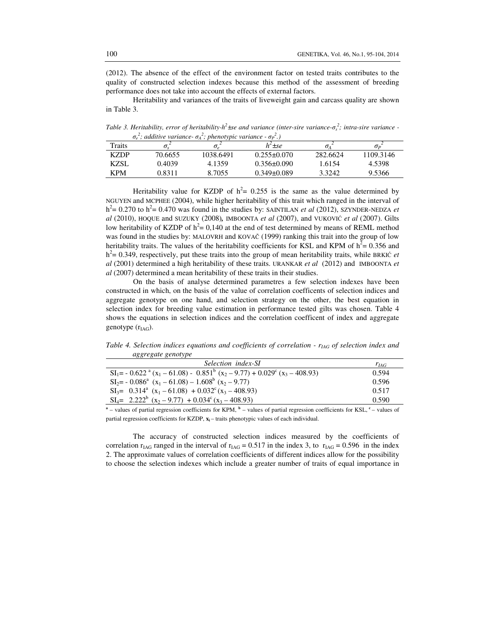(2012). The absence of the effect of the environment factor on tested traits contributes to the quality of constructed selection indexes because this method of the assessment of breeding performance does not take into account the effects of external factors.

 Heritability and variances of the traits of liveweight gain and carcass quality are shown in Table 3.

*Table 3. Heritability, error of heritability-h<sup>2</sup>±se and variance (inter-sire variance-*σ*<sup>s</sup> 2 ; intra-sire variance -*  $\sigma_e^2$ ; additive variance-  $\sigma_A^2$ ; phenotypic variance -  $\sigma_P^2$ .)

| $ \sim$<br>Traits |         | $\bm{U}_{\rho}$ | $n^* \pm s$ e     | $\sigma_{\scriptscriptstyle{A}}$ | σр        |
|-------------------|---------|-----------------|-------------------|----------------------------------|-----------|
| <b>KZDP</b>       | 70.6655 | 1038.6491       | $0.255 \pm 0.070$ | 282.6624                         | 1109.3146 |
| KZSL              | 0.4039  | 4.1359          | $0.356\pm0.090$   | 1.6154                           | 4.5398    |
| <b>KPM</b>        | 0.8311  | 8.7055          | $0.349 \pm 0.089$ | 3.3242                           | 9.5366    |

Heritability value for KZDP of  $h^2$  = 0.255 is the same as the value determined by NGUYEN and MCPHEE (2004), while higher heritability of this trait which ranged in the interval of  $h^2$  = 0.270 to  $h^2$  = 0.470 was found in the studies by: SAINTILAN *et al* (2012), SZYNDER-NEDZA *et al* (2010), HOQUE and SUZUKY (2008)*,* IMBOONTA *et al* (2007), and VUKOVIĆ *et al* (2007). Gilts low heritability of KZDP of  $h^2 = 0.140$  at the end of test determined by means of REML method was found in the studies by: MALOVRH and KOVAČ (1999) ranking this trait into the group of low heritability traits. The values of the heritability coefficients for KSL and KPM of  $h^2 = 0.356$  and  $h^2$  = 0.349, respectively, put these traits into the group of mean heritability traits, while BRKIĆ *et al* (2001) determined a high heritability of these traits. URANKAR *et al* (2012) andIMBOONTA *et al* (2007) determined a mean heritability of these traits in their studies.

On the basis of analyse determined parametres a few selection indexes have been constructed in which, on the basis of the value of correlation coefficents of selection indices and aggregate genotype on one hand, and selection strategy on the other, the best equation in selection index for breeding value estimation in performance tested gilts was chosen. Table 4 shows the equations in selection indices and the correlation coefficent of index and aggregate genotype  $(r<sub>IAG</sub>)$ .

*Table 4. Selection indices equations and coefficients of correlation - rIAG of selection index and aggregate genotype* 

| Selection index-SI                                                                                                                                | $r_{IAG}$ |
|---------------------------------------------------------------------------------------------------------------------------------------------------|-----------|
| $SI_1 = -0.622$ <sup>a</sup> (x <sub>1</sub> - 61.08) - 0.851 <sup>b</sup> (x <sub>2</sub> - 9.77) + 0.029 <sup>c</sup> (x <sub>3</sub> - 408.93) | 0.594     |
| $SI_2$ = $- 0.086^a$ (x <sub>1</sub> – 61.08) – 1.608 <sup>b</sup> (x <sub>2</sub> – 9.77)                                                        | 0.596     |
| $SI_3 = 0.314^a$ (x <sub>1</sub> – 61.08) + 0.032 <sup>c</sup> (x <sub>3</sub> – 408.93)                                                          | 0.517     |
| $SI_4 = 2.222^b$ (x <sub>2</sub> – 9.77) + 0.034 <sup>c</sup> (x <sub>3</sub> – 408.93)                                                           | 0.590     |

 $a$  – values of partial regression coefficients for KPM,  $b$  – values of partial regression coefficients for KSL,  $c$  – values of partial regression coefficients for KZDP, **x<sup>i</sup>** – traits phenotypic values of each individual.

The accuracy of constructed selection indices measured by the coefficients of correlation  $r_{IAG}$  ranged in the interval of  $r_{IAG} = 0.517$  in the index 3, to  $r_{IAG} = 0.596$  in the index 2. The approximate values of correlation coefficients of different indices allow for the possibility to choose the selection indexes which include a greater number of traits of equal importance in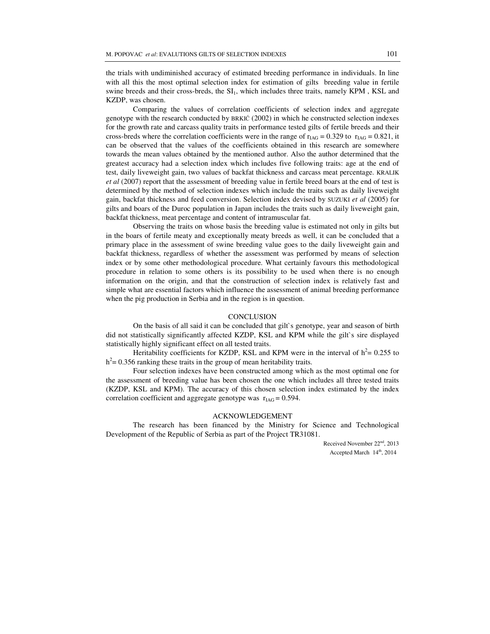the trials with undiminished accuracy of estimated breeding performance in individuals. In line with all this the most optimal selection index for estimation of gilts breeding value in fertile swine breeds and their cross-breds, the SI<sub>1</sub>, which includes three traits, namely KPM, KSL and KZDP, was chosen.

Comparing the values of correlation coefficients of selection index and aggregate genotype with the research conducted by BRKIĆ (2002) in which he constructed selection indexes for the growth rate and carcass quality traits in performance tested gilts of fertile breeds and their cross-breds where the correlation coefficients were in the range of  $r_{IAG} = 0.329$  to  $r_{IAG} = 0.821$ , it can be observed that the values of the coefficients obtained in this research are somewhere towards the mean values obtained by the mentioned author. Also the author determined that the greatest accuracy had a selection index which includes five following traits: age at the end of test, daily liveweight gain, two values of backfat thickness and carcass meat percentage. KRALIK *et al* (2007) report that the assessment of breeding value in fertile breed boars at the end of test is determined by the method of selection indexes which include the traits such as daily liveweight gain, backfat thickness and feed conversion. Selection index devised by SUZUKI *et al* (2005) for gilts and boars of the Duroc population in Japan includes the traits such as daily liveweight gain, backfat thickness, meat percentage and content of intramuscular fat.

Observing the traits on whose basis the breeding value is estimated not only in gilts but in the boars of fertile meaty and exceptionally meaty breeds as well, it can be concluded that a primary place in the assessment of swine breeding value goes to the daily liveweight gain and backfat thickness, regardless of whether the assessment was performed by means of selection index or by some other methodological procedure. What certainly favours this methodological procedure in relation to some others is its possibility to be used when there is no enough information on the origin, and that the construction of selection index is relatively fast and simple what are essential factors which influence the assessment of animal breeding performance when the pig production in Serbia and in the region is in question.

### **CONCLUSION**

On the basis of all said it can be concluded that gilt`s genotype, year and season of birth did not statistically significantly affected KZDP, KSL and KPM while the gilt`s sire displayed statistically highly significant effect on all tested traits.

Heritability coefficients for KZDP, KSL and KPM were in the interval of  $h^2$  = 0.255 to  $h^2$  = 0.356 ranking these traits in the group of mean heritability traits.

Four selection indexes have been constructed among which as the most optimal one for the assessment of breeding value has been chosen the one which includes all three tested traits (KZDP, KSL and KPM). The accuracy of this chosen selection index estimated by the index correlation coefficient and aggregate genotype was  $r_{IAG} = 0.594$ .

### ACKNOWLEDGEMENT

The research has been financed by the Ministry for Science and Technological Development of the Republic of Serbia as part of the Project TR31081.

> Received November 22<sup>nd</sup>, 2013 Accepted March  $14<sup>th</sup>$ , 2014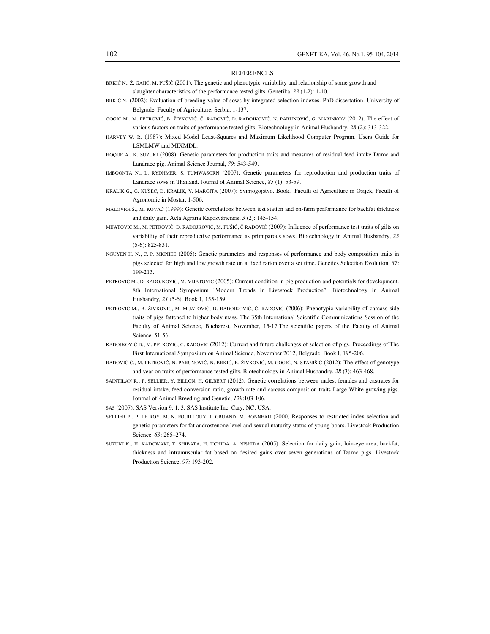#### **REFERENCES**

- BRKIĆ N., Ž. GAJIĆ, M. PUŠIĆ (2001): The genetic and phenotypic variability and relationship of some growth and slaughter characteristics of the performance tested gilts. Genetika, *33* (1-2): 1-10.
- BRKIĆ N. (2002): Evaluation of breeding value of sows by integrated selection indexes. PhD dissertation. University of Belgrade, Faculty of Agriculture, Serbia. 1-137.
- GOGIĆ M., M. PETROVIĆ, B. ŽIVKOVIĆ, Č. RADOVIĆ, D. RADOJKOVIĆ, N. PARUNOVIĆ, G. MARINKOV (2012): The effect of various factors on traits of performance tested gilts. Biotechnology in Animal Husbandry, *28* (2): 313-322.
- HARVEY W. R. (1987): Mixed Model Least-Squares and Maximum Likelihood Computer Program. Users Guide for LSMLMW and MIXMDL.
- HOQUE A., K. SUZUKI (2008): Genetic parameters for production traits and measures of residual feed intake Duroc and Landrace pig. Animal Science Journal, *79:* 543-549.
- IMBOONTA N., L. RYDHMER, S. TUMWASORN (2007): Genetic parameters for reproduction and production traits of Landrace sows in Thailand. Journal of Animal Science, *85* (1): 53-59.
- KRALIK G., G. KUŠEC, D. KRALIK, V. MARGITA (2007): Svinjogojstvo. Book. Faculti of Agriculture in Osijek, Faculti of Agronomic in Mostar. 1-506.
- MALOVRH Š., M. KOVAČ (1999): Genetic correlations between test station and on-farm performance for backfat thickness and daily gain. Acta Agraria Kaposváriensis, *3* (2): 145-154.
- MIJATOVIĆ M., M. PETROVIĆ, D. RADOJKOVIĆ, M. PUŠIĆ, Č RADOVIĆ (2009): Influence of performance test traits of gilts on variability of their reproductive performance as primiparous sows. Biotechnology in Animal Husbandry, *25* (5-6): 825-831.
- NGUYEN H. N., C. P. MKPHEE (2005): Genetic parameters and responses of performance and body composition traits in pigs selected for high and low growth rate on a fixed ration over a set time. Genetics Selection Evolution, *37*: 199-213.
- PETROVIĆ M., D. RADOJKOVIĆ, M. MIJATOVIĆ (2005): Current condition in pig production and potentials for development. 8th International Symposium "Modern Trends in Livestock Production", Biotechnology in Animal Husbandry, *21* (5-6), Book 1, 155-159.
- PETROVIĆ M., B. ŽIVKOVIĆ, M. MIJATOVIĆ, D. RADOJKOVIĆ, Č. RADOVIĆ (2006): Phenotypic variability of carcass side traits of pigs fattened to higher body mass. The 35th International Scientific Communications Session of the Faculty of Animal Science, Bucharest, November, 15-17.The scientific papers of the Faculty of Animal Science, 51-56.
- RADOJKOVIĆ D., M. PETROVIĆ, Č. RADOVIĆ (2012): Current and future challenges of selection of pigs. Proceedings of The First International Symposium on Animal Science, November 2012, Belgrade. Book I, 195-206.
- RADOVIĆ Č., M. PETROVIĆ, N. PARUNOVIĆ, N. BRKIĆ, B. ŽIVKOVIĆ, M. GOGIĆ, N. STANIŠIĆ (2012): The effect of genotype and year on traits of performance tested gilts. Biotechnology in Animal Husbandry, *28* (3): 463-468.
- SAINTILAN R., P. SELLIER, Y. BILLON, H. GILBERT (2012): Genetic correlations between males, females and castrates for residual intake, feed conversion ratio, growth rate and carcass composition traits Large White growing pigs. Journal of Animal Breeding and Genetic, *129*:103-106.
- SAS (2007): SAS Version 9. 1. 3, SAS Institute Inc. Cary, NC, USA.
- SELLIER P., P. LE ROY, M. N. FOUILLOUX, J. GRUAND, M. BONNEAU (2000) Responses to restricted index selection and genetic parameters for fat androstenone level and sexual maturity status of young boars. Livestock Production Science, *63*: 265–274.
- SUZUKI K., H. KADOWAKI, T. SHIBATA, H. UCHIDA, A. NISHIDA (2005): Selection for daily gain, loin-eye area, backfat, thickness and intramuscular fat based on desired gains over seven generations of Duroc pigs. Livestock Production Science, *97:* 193-202.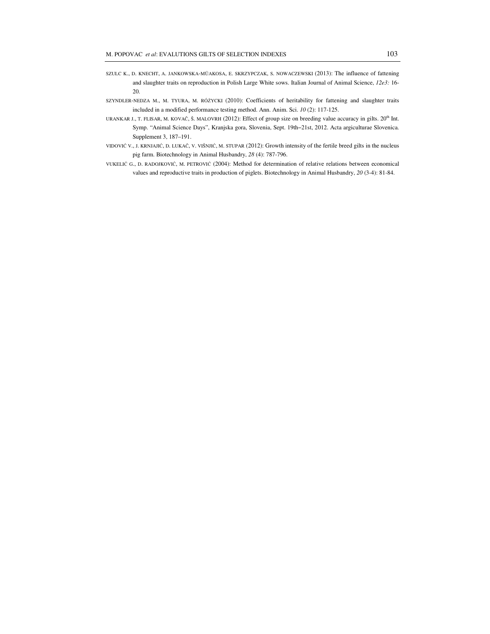- SZULC K., D. KNECHT, A. JANKOWSKA-MÜAKOSA, E. SKRZYPCZAK, S. NOWACZEWSKI (2013): The influence of fattening and slaughter traits on reproduction in Polish Large White sows. Italian Journal of Animal Science, *12e3:* 16- 20.
- SZYNDLER-NEDZA M., M. TYURA, M. RÓŻYCKI (2010): Coefficients of heritability for fattening and slaughter traits included in a modified performance testing method. Ann. Anim. Sci. *10* (2): 117-125.
- URANKAR J., T. FLISAR, M. KOVAČ, Š. MALOVRH (2012): Effect of group size on breeding value accuracy in gilts.  $20^{th}$  Int. Symp. "Animal Science Days", Kranjska gora, Slovenia, Sept. 19th−21st, 2012. Acta argiculturae Slovenica. Supplement 3, 187–191.
- VIDOVIĆ V., J. KRNJAJIĆ, D. LUKAČ, V. VIŠNJIĆ, M. STUPAR (2012): Growth intensity of the fertile breed gilts in the nucleus pig farm. Biotechnology in Animal Husbandry, *28* (4): 787-796.
- VUKELIĆ G., D. RADOJKOVIĆ, M. PETROVIĆ (2004): Method for determination of relative relations between economical values and reproductive traits in production of piglets. Biotechnology in Animal Husbandry, *20* (3-4): 81-84.